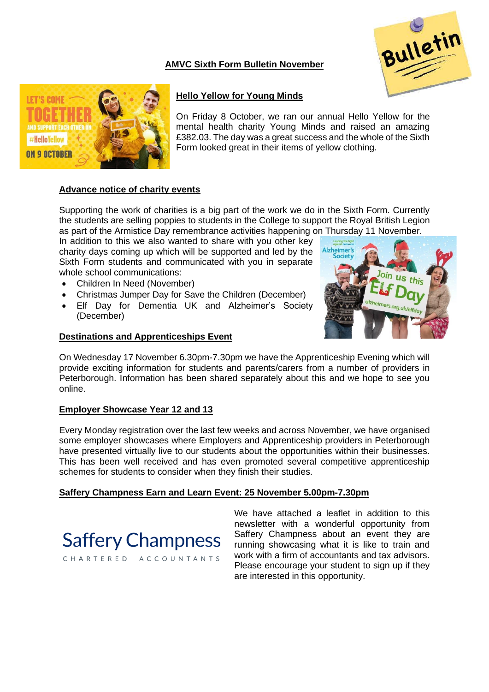# **AMVC Sixth Form Bulletin November**





## **Hello Yellow for Young Minds**

On Friday 8 October, we ran our annual Hello Yellow for the mental health charity Young Minds and raised an amazing £382.03. The day was a great success and the whole of the Sixth Form looked great in their items of yellow clothing.

### **Advance notice of charity events**

Supporting the work of charities is a big part of the work we do in the Sixth Form. Currently the students are selling poppies to students in the College to support the Royal British Legion as part of the Armistice Day remembrance activities happening on Thursday 11 November.

In addition to this we also wanted to share with you other key charity days coming up which will be supported and led by the Sixth Form students and communicated with you in separate whole school communications:

- Children In Need (November)
- Christmas Jumper Day for Save the Children (December)
- Elf Day for Dementia UK and Alzheimer's Society (December)

### **Destinations and Apprenticeships Event**



On Wednesday 17 November 6.30pm-7.30pm we have the Apprenticeship Evening which will provide exciting information for students and parents/carers from a number of providers in Peterborough. Information has been shared separately about this and we hope to see you online.

### **Employer Showcase Year 12 and 13**

Every Monday registration over the last few weeks and across November, we have organised some employer showcases where Employers and Apprenticeship providers in Peterborough have presented virtually live to our students about the opportunities within their businesses. This has been well received and has even promoted several competitive apprenticeship schemes for students to consider when they finish their studies.

### **Saffery Champness Earn and Learn Event: 25 November 5.00pm-7.30pm**



CHARTERED ACCOUNTANTS

We have attached a leaflet in addition to this newsletter with a wonderful opportunity from Saffery Champness about an event they are running showcasing what it is like to train and work with a firm of accountants and tax advisors. Please encourage your student to sign up if they are interested in this opportunity.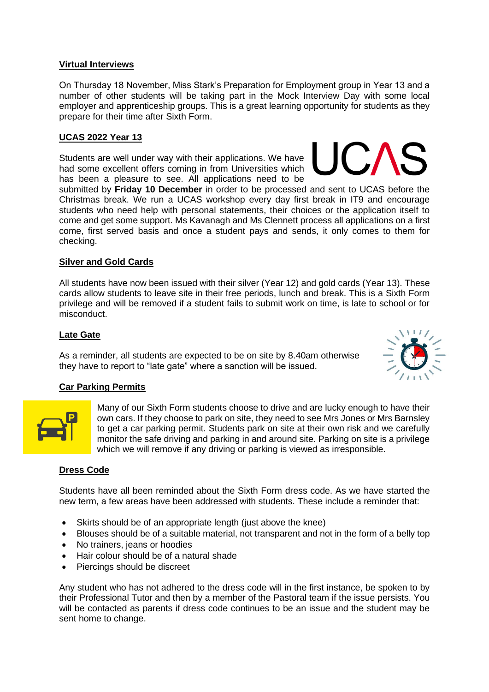### **Virtual Interviews**

On Thursday 18 November, Miss Stark's Preparation for Employment group in Year 13 and a number of other students will be taking part in the Mock Interview Day with some local employer and apprenticeship groups. This is a great learning opportunity for students as they prepare for their time after Sixth Form.

## **UCAS 2022 Year 13**

Students are well under way with their applications. We have had some excellent offers coming in from Universities which has been a pleasure to see. All applications need to be

submitted by **Friday 10 December** in order to be processed and sent to UCAS before the Christmas break. We run a UCAS workshop every day first break in IT9 and encourage students who need help with personal statements, their choices or the application itself to come and get some support. Ms Kavanagh and Ms Clennett process all applications on a first come, first served basis and once a student pays and sends, it only comes to them for checking.

### **Silver and Gold Cards**

All students have now been issued with their silver (Year 12) and gold cards (Year 13). These cards allow students to leave site in their free periods, lunch and break. This is a Sixth Form privilege and will be removed if a student fails to submit work on time, is late to school or for misconduct.

### **Late Gate**

As a reminder, all students are expected to be on site by 8.40am otherwise they have to report to "late gate" where a sanction will be issued.

### **Car Parking Permits**

Many of our Sixth Form students choose to drive and are lucky enough to have their own cars. If they choose to park on site, they need to see Mrs Jones or Mrs Barnsley to get a car parking permit. Students park on site at their own risk and we carefully monitor the safe driving and parking in and around site. Parking on site is a privilege which we will remove if any driving or parking is viewed as irresponsible.

#### **Dress Code**

Students have all been reminded about the Sixth Form dress code. As we have started the new term, a few areas have been addressed with students. These include a reminder that:

- Skirts should be of an appropriate length (just above the knee)
- Blouses should be of a suitable material, not transparent and not in the form of a belly top
- No trainers, jeans or hoodies
- Hair colour should be of a natural shade
- Piercings should be discreet

Any student who has not adhered to the dress code will in the first instance, be spoken to by their Professional Tutor and then by a member of the Pastoral team if the issue persists. You will be contacted as parents if dress code continues to be an issue and the student may be sent home to change.



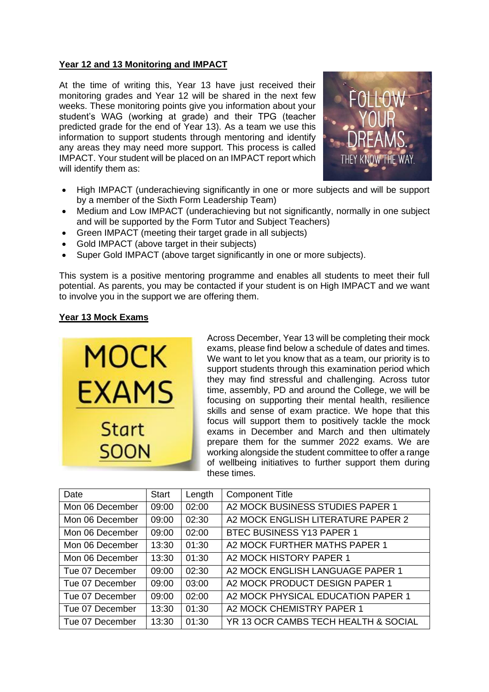### **Year 12 and 13 Monitoring and IMPACT**

At the time of writing this, Year 13 have just received their monitoring grades and Year 12 will be shared in the next few weeks. These monitoring points give you information about your student's WAG (working at grade) and their TPG (teacher predicted grade for the end of Year 13). As a team we use this information to support students through mentoring and identify any areas they may need more support. This process is called IMPACT. Your student will be placed on an IMPACT report which will identify them as:



- High IMPACT (underachieving significantly in one or more subjects and will be support by a member of the Sixth Form Leadership Team)
- Medium and Low IMPACT (underachieving but not significantly, normally in one subject and will be supported by the Form Tutor and Subject Teachers)
- Green IMPACT (meeting their target grade in all subjects)
- Gold IMPACT (above target in their subjects)
- Super Gold IMPACT (above target significantly in one or more subjects).

This system is a positive mentoring programme and enables all students to meet their full potential. As parents, you may be contacted if your student is on High IMPACT and we want to involve you in the support we are offering them.

### **Year 13 Mock Exams**

MOCK EXAMS **Start SOON** 

Across December, Year 13 will be completing their mock exams, please find below a schedule of dates and times. We want to let you know that as a team, our priority is to support students through this examination period which they may find stressful and challenging. Across tutor time, assembly, PD and around the College, we will be focusing on supporting their mental health, resilience skills and sense of exam practice. We hope that this focus will support them to positively tackle the mock exams in December and March and then ultimately prepare them for the summer 2022 exams. We are working alongside the student committee to offer a range of wellbeing initiatives to further support them during these times.

| Date            | <b>Start</b> | Length | <b>Component Title</b>               |
|-----------------|--------------|--------|--------------------------------------|
| Mon 06 December | 09:00        | 02:00  | A2 MOCK BUSINESS STUDIES PAPER 1     |
| Mon 06 December | 09:00        | 02:30  | A2 MOCK ENGLISH LITERATURE PAPER 2   |
| Mon 06 December | 09:00        | 02:00  | BTEC BUSINESS Y13 PAPER 1            |
| Mon 06 December | 13:30        | 01:30  | A2 MOCK FURTHER MATHS PAPER 1        |
| Mon 06 December | 13:30        | 01:30  | A2 MOCK HISTORY PAPER 1              |
| Tue 07 December | 09:00        | 02:30  | A2 MOCK ENGLISH LANGUAGE PAPER 1     |
| Tue 07 December | 09:00        | 03:00  | A2 MOCK PRODUCT DESIGN PAPER 1       |
| Tue 07 December | 09:00        | 02:00  | A2 MOCK PHYSICAL EDUCATION PAPER 1   |
| Tue 07 December | 13:30        | 01:30  | A2 MOCK CHEMISTRY PAPER 1            |
| Tue 07 December | 13:30        | 01:30  | YR 13 OCR CAMBS TECH HEALTH & SOCIAL |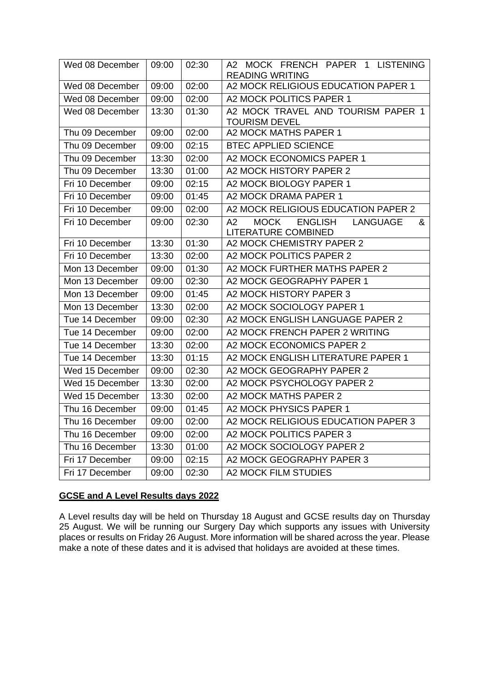| Wed 08 December | 09:00 | 02:30 | A2 MOCK FRENCH PAPER 1 LISTENING<br><b>READING WRITING</b>                                |
|-----------------|-------|-------|-------------------------------------------------------------------------------------------|
| Wed 08 December | 09:00 | 02:00 | A2 MOCK RELIGIOUS EDUCATION PAPER 1                                                       |
| Wed 08 December | 09:00 | 02:00 | A2 MOCK POLITICS PAPER 1                                                                  |
| Wed 08 December | 13:30 | 01:30 | A2 MOCK TRAVEL AND TOURISM PAPER 1<br><b>TOURISM DEVEL</b>                                |
| Thu 09 December | 09:00 | 02:00 | A2 MOCK MATHS PAPER 1                                                                     |
| Thu 09 December | 09:00 | 02:15 | <b>BTEC APPLIED SCIENCE</b>                                                               |
| Thu 09 December | 13:30 | 02:00 | A2 MOCK ECONOMICS PAPER 1                                                                 |
| Thu 09 December | 13:30 | 01:00 | A2 MOCK HISTORY PAPER 2                                                                   |
| Fri 10 December | 09:00 | 02:15 | A2 MOCK BIOLOGY PAPER 1                                                                   |
| Fri 10 December | 09:00 | 01:45 | A2 MOCK DRAMA PAPER 1                                                                     |
| Fri 10 December | 09:00 | 02:00 | A2 MOCK RELIGIOUS EDUCATION PAPER 2                                                       |
| Fri 10 December | 09:00 | 02:30 | <b>MOCK</b><br>A2<br><b>ENGLISH</b><br><b>LANGUAGE</b><br>&<br><b>LITERATURE COMBINED</b> |
| Fri 10 December | 13:30 | 01:30 | A2 MOCK CHEMISTRY PAPER 2                                                                 |
| Fri 10 December | 13:30 | 02:00 | A2 MOCK POLITICS PAPER 2                                                                  |
| Mon 13 December | 09:00 | 01:30 | A2 MOCK FURTHER MATHS PAPER 2                                                             |
| Mon 13 December | 09:00 | 02:30 | A2 MOCK GEOGRAPHY PAPER 1                                                                 |
| Mon 13 December | 09:00 | 01:45 | A2 MOCK HISTORY PAPER 3                                                                   |
| Mon 13 December | 13:30 | 02:00 | A2 MOCK SOCIOLOGY PAPER 1                                                                 |
| Tue 14 December | 09:00 | 02:30 | A2 MOCK ENGLISH LANGUAGE PAPER 2                                                          |
| Tue 14 December | 09:00 | 02:00 | A2 MOCK FRENCH PAPER 2 WRITING                                                            |
| Tue 14 December | 13:30 | 02:00 | A2 MOCK ECONOMICS PAPER 2                                                                 |
| Tue 14 December | 13:30 | 01:15 | A2 MOCK ENGLISH LITERATURE PAPER 1                                                        |
| Wed 15 December | 09:00 | 02:30 | A2 MOCK GEOGRAPHY PAPER 2                                                                 |
| Wed 15 December | 13:30 | 02:00 | A2 MOCK PSYCHOLOGY PAPER 2                                                                |
| Wed 15 December | 13:30 | 02:00 | A2 MOCK MATHS PAPER 2                                                                     |
| Thu 16 December | 09:00 | 01:45 | A2 MOCK PHYSICS PAPER 1                                                                   |
| Thu 16 December | 09:00 | 02:00 | A2 MOCK RELIGIOUS EDUCATION PAPER 3                                                       |
| Thu 16 December | 09:00 | 02:00 | A2 MOCK POLITICS PAPER 3                                                                  |
| Thu 16 December | 13:30 | 01:00 | A2 MOCK SOCIOLOGY PAPER 2                                                                 |
| Fri 17 December | 09:00 | 02:15 | A2 MOCK GEOGRAPHY PAPER 3                                                                 |
| Fri 17 December | 09:00 | 02:30 | A2 MOCK FILM STUDIES                                                                      |

# **GCSE and A Level Results days 2022**

A Level results day will be held on Thursday 18 August and GCSE results day on Thursday 25 August. We will be running our Surgery Day which supports any issues with University places or results on Friday 26 August. More information will be shared across the year. Please make a note of these dates and it is advised that holidays are avoided at these times.